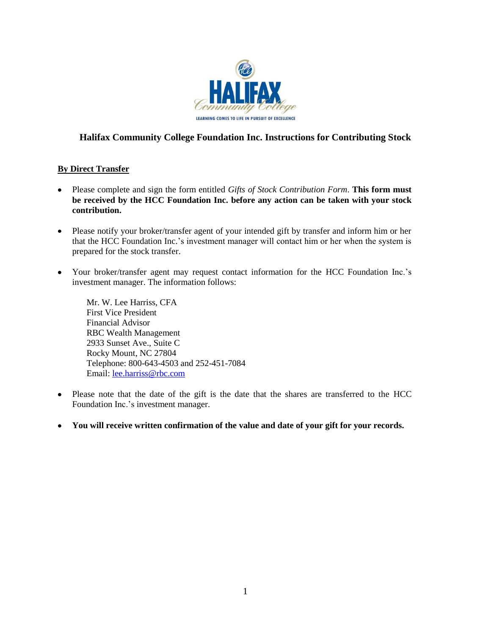

# **Halifax Community College Foundation Inc. Instructions for Contributing Stock**

## **By Direct Transfer**

- Please complete and sign the form entitled *Gifts of Stock Contribution Form*. **This form must be received by the HCC Foundation Inc. before any action can be taken with your stock contribution.**
- Please notify your broker/transfer agent of your intended gift by transfer and inform him or her  $\bullet$ that the HCC Foundation Inc.'s investment manager will contact him or her when the system is prepared for the stock transfer.
- $\bullet$ Your broker/transfer agent may request contact information for the HCC Foundation Inc.'s investment manager. The information follows:

Mr. W. Lee Harriss, CFA First Vice President Financial Advisor RBC Wealth Management 2933 Sunset Ave., Suite C Rocky Mount, NC 27804 Telephone: 800-643-4503 and 252-451-7084 Email: [lee.harriss@rbc.com](mailto:lee.harriss@rbc.com)

- Please note that the date of the gift is the date that the shares are transferred to the HCC Foundation Inc.'s investment manager.
- **You will receive written confirmation of the value and date of your gift for your records.** $\bullet$